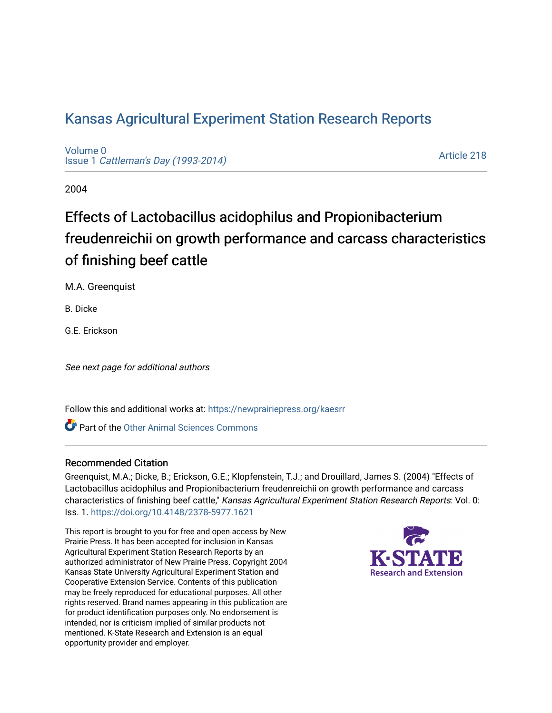# [Kansas Agricultural Experiment Station Research Reports](https://newprairiepress.org/kaesrr)

[Volume 0](https://newprairiepress.org/kaesrr/vol0) Issue 1 [Cattleman's Day \(1993-2014\)](https://newprairiepress.org/kaesrr/vol0/iss1) 

[Article 218](https://newprairiepress.org/kaesrr/vol0/iss1/218) 

2004

# Effects of Lactobacillus acidophilus and Propionibacterium freudenreichii on growth performance and carcass characteristics of finishing beef cattle

M.A. Greenquist

B. Dicke

G.E. Erickson

See next page for additional authors

Follow this and additional works at: [https://newprairiepress.org/kaesrr](https://newprairiepress.org/kaesrr?utm_source=newprairiepress.org%2Fkaesrr%2Fvol0%2Fiss1%2F218&utm_medium=PDF&utm_campaign=PDFCoverPages) 

Part of the [Other Animal Sciences Commons](http://network.bepress.com/hgg/discipline/82?utm_source=newprairiepress.org%2Fkaesrr%2Fvol0%2Fiss1%2F218&utm_medium=PDF&utm_campaign=PDFCoverPages)

#### Recommended Citation

Greenquist, M.A.; Dicke, B.; Erickson, G.E.; Klopfenstein, T.J.; and Drouillard, James S. (2004) "Effects of Lactobacillus acidophilus and Propionibacterium freudenreichii on growth performance and carcass characteristics of finishing beef cattle," Kansas Agricultural Experiment Station Research Reports: Vol. 0: Iss. 1. <https://doi.org/10.4148/2378-5977.1621>

This report is brought to you for free and open access by New Prairie Press. It has been accepted for inclusion in Kansas Agricultural Experiment Station Research Reports by an authorized administrator of New Prairie Press. Copyright 2004 Kansas State University Agricultural Experiment Station and Cooperative Extension Service. Contents of this publication may be freely reproduced for educational purposes. All other rights reserved. Brand names appearing in this publication are for product identification purposes only. No endorsement is intended, nor is criticism implied of similar products not mentioned. K-State Research and Extension is an equal opportunity provider and employer.

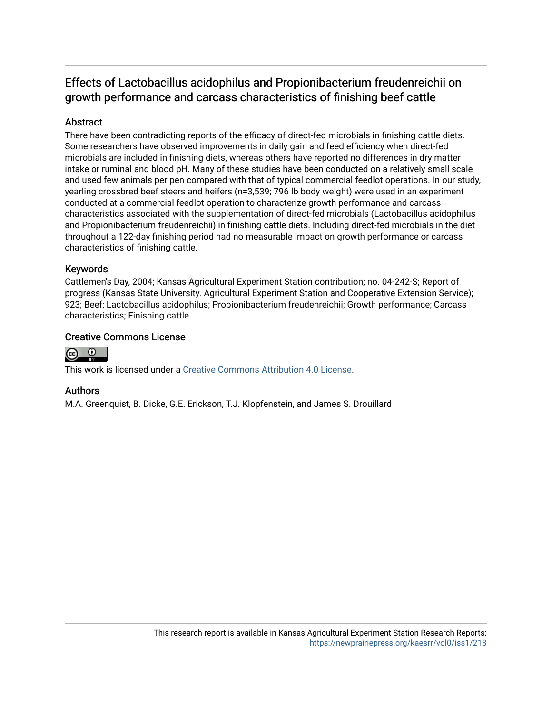# Effects of Lactobacillus acidophilus and Propionibacterium freudenreichii on growth performance and carcass characteristics of finishing beef cattle

## **Abstract**

There have been contradicting reports of the efficacy of direct-fed microbials in finishing cattle diets. Some researchers have observed improvements in daily gain and feed efficiency when direct-fed microbials are included in finishing diets, whereas others have reported no differences in dry matter intake or ruminal and blood pH. Many of these studies have been conducted on a relatively small scale and used few animals per pen compared with that of typical commercial feedlot operations. In our study, yearling crossbred beef steers and heifers (n=3,539; 796 lb body weight) were used in an experiment conducted at a commercial feedlot operation to characterize growth performance and carcass characteristics associated with the supplementation of direct-fed microbials (Lactobacillus acidophilus and Propionibacterium freudenreichii) in finishing cattle diets. Including direct-fed microbials in the diet throughout a 122-day finishing period had no measurable impact on growth performance or carcass characteristics of finishing cattle.

#### Keywords

Cattlemen's Day, 2004; Kansas Agricultural Experiment Station contribution; no. 04-242-S; Report of progress (Kansas State University. Agricultural Experiment Station and Cooperative Extension Service); 923; Beef; Lactobacillus acidophilus; Propionibacterium freudenreichii; Growth performance; Carcass characteristics; Finishing cattle

## Creative Commons License



This work is licensed under a [Creative Commons Attribution 4.0 License](https://creativecommons.org/licenses/by/4.0/).

## Authors

M.A. Greenquist, B. Dicke, G.E. Erickson, T.J. Klopfenstein, and James S. Drouillard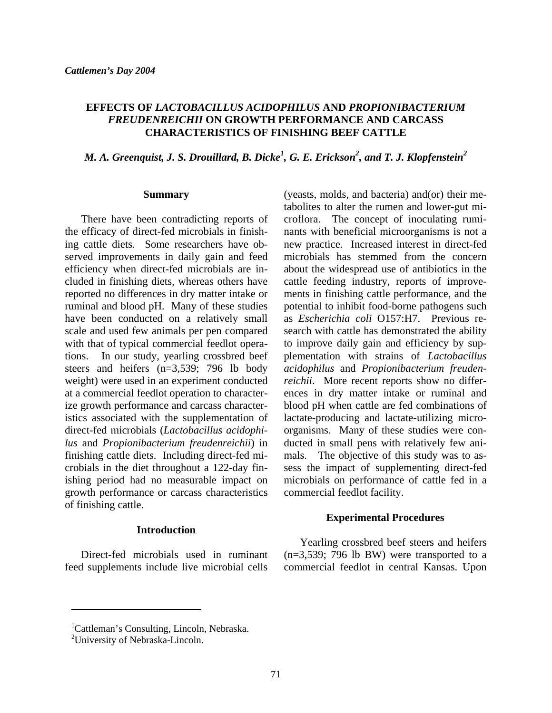#### **EFFECTS OF** *LACTOBACILLUS ACIDOPHILUS* **AND** *PROPIONIBACTERIUM FREUDENREICHII* **ON GROWTH PERFORMANCE AND CARCASS CHARACTERISTICS OF FINISHING BEEF CATTLE**

# *M. A. Greenquist, J. S. Drouillard, B. Dicke<sup>1</sup> , G. E. Erickson2 , and T. J. Klopfenstein2*

#### **Summary**

There have been contradicting reports of the efficacy of direct-fed microbials in finishing cattle diets. Some researchers have observed improvements in daily gain and feed efficiency when direct-fed microbials are included in finishing diets, whereas others have reported no differences in dry matter intake or ruminal and blood pH. Many of these studies have been conducted on a relatively small scale and used few animals per pen compared with that of typical commercial feedlot operations. In our study, yearling crossbred beef steers and heifers (n=3,539; 796 lb body weight) were used in an experiment conducted at a commercial feedlot operation to characterize growth performance and carcass characteristics associated with the supplementation of direct-fed microbials (*Lactobacillus acidophilus* and *Propionibacterium freudenreichii*) in finishing cattle diets. Including direct-fed microbials in the diet throughout a 122-day finishing period had no measurable impact on growth performance or carcass characteristics of finishing cattle.

#### **Introduction**

Direct-fed microbials used in ruminant feed supplements include live microbial cells

(yeasts, molds, and bacteria) and(or) their metabolites to alter the rumen and lower-gut microflora. The concept of inoculating ruminants with beneficial microorganisms is not a new practice. Increased interest in direct-fed microbials has stemmed from the concern about the widespread use of antibiotics in the cattle feeding industry, reports of improvements in finishing cattle performance, and the potential to inhibit food-borne pathogens such as *Escherichia coli* O157:H7. Previous research with cattle has demonstrated the ability to improve daily gain and efficiency by supplementation with strains of *Lactobacillus acidophilus* and *Propionibacterium freudenreichii*. More recent reports show no differences in dry matter intake or ruminal and blood pH when cattle are fed combinations of lactate-producing and lactate-utilizing microorganisms. Many of these studies were conducted in small pens with relatively few animals. The objective of this study was to assess the impact of supplementing direct-fed microbials on performance of cattle fed in a commercial feedlot facility.

#### **Experimental Procedures**

Yearling crossbred beef steers and heifers  $(n=3,539; 796$  lb BW) were transported to a commercial feedlot in central Kansas. Upon

 $\overline{a}$ 

<sup>&</sup>lt;sup>1</sup>Cattleman's Consulting, Lincoln, Nebraska.

<sup>&</sup>lt;sup>2</sup>University of Nebraska-Lincoln.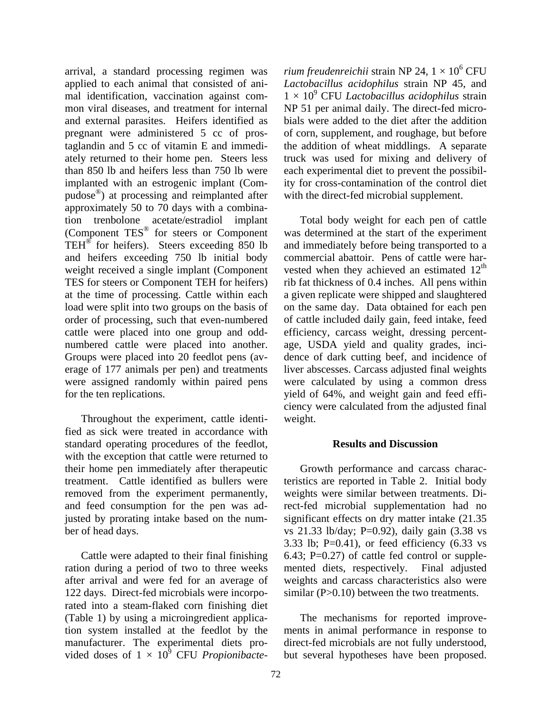arrival, a standard processing regimen was applied to each animal that consisted of animal identification, vaccination against common viral diseases, and treatment for internal and external parasites. Heifers identified as pregnant were administered 5 cc of prostaglandin and 5 cc of vitamin E and immediately returned to their home pen. Steers less than 850 lb and heifers less than 750 lb were implanted with an estrogenic implant (Compudose®) at processing and reimplanted after approximately 50 to 70 days with a combination trenbolone acetate/estradiol implant (Component TES® for steers or Component TEH® for heifers). Steers exceeding 850 lb and heifers exceeding 750 lb initial body weight received a single implant (Component TES for steers or Component TEH for heifers) at the time of processing. Cattle within each load were split into two groups on the basis of order of processing, such that even-numbered cattle were placed into one group and oddnumbered cattle were placed into another. Groups were placed into 20 feedlot pens (average of 177 animals per pen) and treatments were assigned randomly within paired pens for the ten replications.

Throughout the experiment, cattle identified as sick were treated in accordance with standard operating procedures of the feedlot, with the exception that cattle were returned to their home pen immediately after therapeutic treatment. Cattle identified as bullers were removed from the experiment permanently, and feed consumption for the pen was adjusted by prorating intake based on the number of head days.

Cattle were adapted to their final finishing ration during a period of two to three weeks after arrival and were fed for an average of 122 days. Direct-fed microbials were incorporated into a steam-flaked corn finishing diet (Table 1) by using a microingredient application system installed at the feedlot by the manufacturer. The experimental diets provided doses of  $1 \times 10^9$  CFU *Propionibacte*-

*rium freudenreichii* strain NP 24,  $1 \times 10^6 \, \text{CFU}$ *Lactobacillus acidophilus* strain NP 45, and 1 × 10<sup>9</sup> CFU *Lactobacillus acidophilus* strain NP 51 per animal daily. The direct-fed microbials were added to the diet after the addition of corn, supplement, and roughage, but before the addition of wheat middlings. A separate truck was used for mixing and delivery of each experimental diet to prevent the possibility for cross-contamination of the control diet with the direct-fed microbial supplement.

Total body weight for each pen of cattle was determined at the start of the experiment and immediately before being transported to a commercial abattoir. Pens of cattle were harvested when they achieved an estimated  $12<sup>th</sup>$ rib fat thickness of 0.4 inches. All pens within a given replicate were shipped and slaughtered on the same day. Data obtained for each pen of cattle included daily gain, feed intake, feed efficiency, carcass weight, dressing percentage, USDA yield and quality grades, incidence of dark cutting beef, and incidence of liver abscesses. Carcass adjusted final weights were calculated by using a common dress yield of 64%, and weight gain and feed efficiency were calculated from the adjusted final weight.

#### **Results and Discussion**

Growth performance and carcass characteristics are reported in Table 2. Initial body weights were similar between treatments. Direct-fed microbial supplementation had no significant effects on dry matter intake (21.35 vs 21.33 lb/day; P=0.92), daily gain (3.38 vs 3.33 lb;  $P=0.41$ ), or feed efficiency  $(6.33 \text{ vs } 3.32)$ 6.43;  $P=0.27$  of cattle fed control or supplemented diets, respectively. Final adjusted weights and carcass characteristics also were similar (P>0.10) between the two treatments.

The mechanisms for reported improvements in animal performance in response to direct-fed microbials are not fully understood, but several hypotheses have been proposed.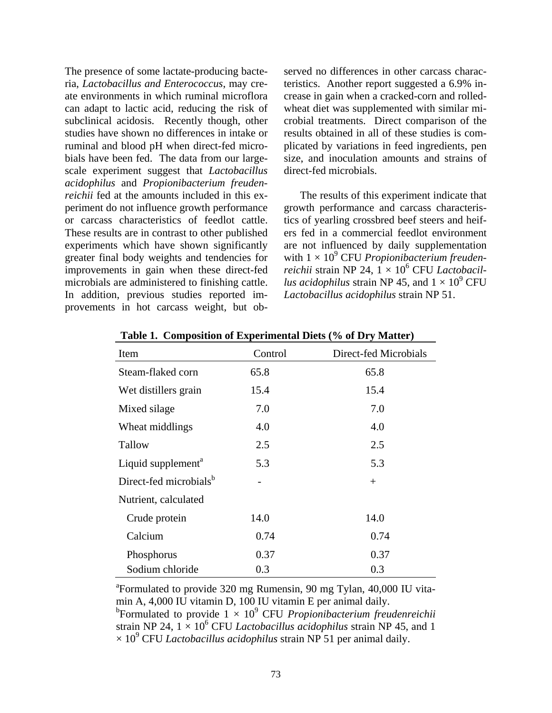The presence of some lactate-producing bacteria, *Lactobacillus and Enterococcus*, may create environments in which ruminal microflora can adapt to lactic acid, reducing the risk of subclinical acidosis. Recently though, other studies have shown no differences in intake or ruminal and blood pH when direct-fed microbials have been fed. The data from our largescale experiment suggest that *Lactobacillus acidophilus* and *Propionibacterium freudenreichii* fed at the amounts included in this experiment do not influence growth performance or carcass characteristics of feedlot cattle. These results are in contrast to other published experiments which have shown significantly greater final body weights and tendencies for improvements in gain when these direct-fed microbials are administered to finishing cattle. In addition, previous studies reported improvements in hot carcass weight, but observed no differences in other carcass characteristics. Another report suggested a 6.9% increase in gain when a cracked-corn and rolledwheat diet was supplemented with similar microbial treatments. Direct comparison of the results obtained in all of these studies is complicated by variations in feed ingredients, pen size, and inoculation amounts and strains of direct-fed microbials.

The results of this experiment indicate that growth performance and carcass characteristics of yearling crossbred beef steers and heifers fed in a commercial feedlot environment are not influenced by daily supplementation with 1 × 10<sup>9</sup> CFU *Propionibacterium freuden*reichii strain NP 24, 1 × 10<sup>6</sup> CFU *Lactobacillus acidophilus* strain NP 45, and  $1 \times 10^9$  CFU *Lactobacillus acidophilus* strain NP 51.

| Item                               | Control | Direct-fed Microbials |
|------------------------------------|---------|-----------------------|
| Steam-flaked corn                  | 65.8    | 65.8                  |
| Wet distillers grain               | 15.4    | 15.4                  |
| Mixed silage                       | 7.0     | 7.0                   |
| Wheat middlings                    | 4.0     | 4.0                   |
| Tallow                             | 2.5     | 2.5                   |
| Liquid supplement <sup>a</sup>     | 5.3     | 5.3                   |
| Direct-fed microbials <sup>b</sup> |         | $+$                   |
| Nutrient, calculated               |         |                       |
| Crude protein                      | 14.0    | 14.0                  |
| Calcium                            | 0.74    | 0.74                  |
| Phosphorus                         | 0.37    | 0.37                  |
| Sodium chloride                    | 0.3     | 0.3                   |

**Table 1. Composition of Experimental Diets (% of Dry Matter)** 

<sup>a</sup> Formulated to provide 320 mg Rumensin, 90 mg Tylan, 40,000 IU vitamin A, 4,000 IU vitamin D, 100 IU vitamin E per animal daily.

 $^{\rm b}$ Formulated to provide  $1 \times 10^9$  CFU *Propionibacterium freudenreichii* strain NP 24,  $1 \times 10^6$  CFU *Lactobacillus acidophilus* strain NP 45, and 1  $\times$  10<sup>9</sup> CFU *Lactobacillus acidophilus* strain NP 51 per animal daily.